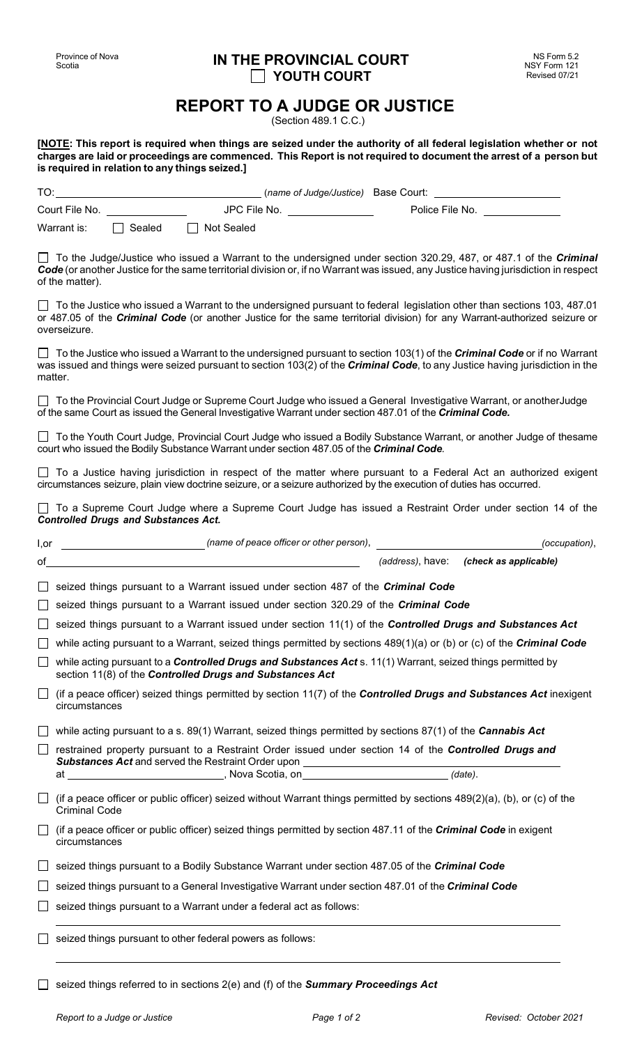## **IN THE PROVINCIAL COURT YOUTH COURT**

## **REPORT TO A JUDGE OR JUSTICE**

(Section 489.1 C.C.)

[NOTE: This report is required when things are seized under the authority of all federal legislation whether or not charges are laid or proceedings are commenced. This Report is not required to document the arrest of a person but **is required in relation to any things seized.]**

| TO:            |        | (name of Judge/Justice) Base Court: |                 |  |
|----------------|--------|-------------------------------------|-----------------|--|
| Court File No. |        | JPC File No.                        | Police File No. |  |
| Warrant is:    | Sealed | Not Sealed                          |                 |  |

To the Judge/Justice who issued a Warrant to the undersigned under section 320.29, 487, or 487.1 of the *Criminal Code* (or another Justice for the same territorial division or, if no Warrant was issued, any Justice having jurisdiction in respect of the matter).

To the Justice who issued a Warrant to the undersigned pursuant to federal legislation other than sections 103, 487.01 or 487.05 of the *Criminal Code* (or another Justice for the same territorial division) for any Warrant-authorized seizure or overseizure.

To the Justice who issued a Warrant to the undersigned pursuant to section 103(1) of the *Criminal Code* or if no Warrant was issued and things were seized pursuant to section 103(2) of the *Criminal Code*, to any Justice having jurisdiction in the matter.

To the Provincial Court Judge or Supreme Court Judge who issued a General Investigative Warrant, or anotherJudge of the same Court as issued the General Investigative Warrant under section 487.01 of the *Criminal Code.*

□ To the Youth Court Judge, Provincial Court Judge who issued a Bodily Substance Warrant, or another Judge of thesame court who issued the Bodily Substance Warrant under section 487.05 of the *Criminal Code.* 

□ To a Justice having jurisdiction in respect of the matter where pursuant to a Federal Act an authorized exigent circumstances seizure, plain view doctrine seizure, or a seizure authorized by the execution of duties has occurred.

□ To a Supreme Court Judge where a Supreme Court Judge has issued a Restraint Order under section 14 of the *Controlled Drugs and Substances Act.*

| l,or | (name of peace officer or other person),                                                                                                                                       |  | (occupation),                          |  |  |  |
|------|--------------------------------------------------------------------------------------------------------------------------------------------------------------------------------|--|----------------------------------------|--|--|--|
| of   |                                                                                                                                                                                |  | (address), have: (check as applicable) |  |  |  |
|      | seized things pursuant to a Warrant issued under section 487 of the <i>Criminal Code</i>                                                                                       |  |                                        |  |  |  |
|      | seized things pursuant to a Warrant issued under section 320.29 of the <i>Criminal Code</i>                                                                                    |  |                                        |  |  |  |
|      | seized things pursuant to a Warrant issued under section 11(1) of the Controlled Drugs and Substances Act                                                                      |  |                                        |  |  |  |
|      | while acting pursuant to a Warrant, seized things permitted by sections $489(1)(a)$ or (b) or (c) of the <i>Criminal Code</i>                                                  |  |                                        |  |  |  |
|      | while acting pursuant to a <b>Controlled Drugs and Substances Act</b> s. 11(1) Warrant, seized things permitted by<br>section 11(8) of the Controlled Drugs and Substances Act |  |                                        |  |  |  |
|      | (if a peace officer) seized things permitted by section 11(7) of the <b>Controlled Drugs and Substances Act</b> inexigent<br>circumstances                                     |  |                                        |  |  |  |
|      | while acting pursuant to a s. $89(1)$ Warrant, seized things permitted by sections $87(1)$ of the <i>Cannabis Act</i>                                                          |  |                                        |  |  |  |
|      | restrained property pursuant to a Restraint Order issued under section 14 of the Controlled Drugs and                                                                          |  |                                        |  |  |  |
|      | Substances Act and served the Restraint Order upon _____________________________<br>at ______________________________, Nova Scotia, on_____________________________(date).     |  |                                        |  |  |  |
|      | (if a peace officer or public officer) seized without Warrant things permitted by sections 489(2)(a), (b), or (c) of the<br><b>Criminal Code</b>                               |  |                                        |  |  |  |
|      | (if a peace officer or public officer) seized things permitted by section 487.11 of the <i>Criminal Code</i> in exigent<br>circumstances                                       |  |                                        |  |  |  |
|      | seized things pursuant to a Bodily Substance Warrant under section 487.05 of the Criminal Code                                                                                 |  |                                        |  |  |  |
|      | seized things pursuant to a General Investigative Warrant under section 487.01 of the Criminal Code                                                                            |  |                                        |  |  |  |
|      | seized things pursuant to a Warrant under a federal act as follows:                                                                                                            |  |                                        |  |  |  |
|      | seized things pursuant to other federal powers as follows:                                                                                                                     |  |                                        |  |  |  |
|      | seized things referred to in sections 2(e) and (f) of the Summary Proceedings Act                                                                                              |  |                                        |  |  |  |